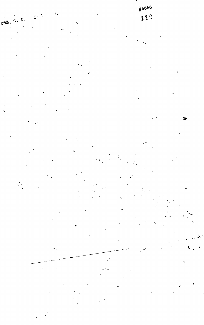16666 112 ۱Ì۰  $\mathcal{I}^{\mathcal{A}}$  $\mathbf l$  $\mathbf{C}$ OSE, C. Ą

59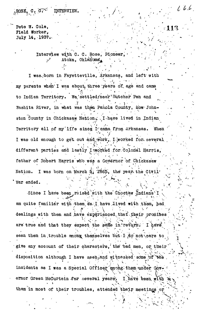INTERVIEW.

Pete W. Cole, Field Worker, July 14. 1937.

 $ROS. 0.07$ 

Interview with C. C. Rose, Pioneer Atoka. Oklahoma.

 $l_{i}$  to  $l_{e}$ 

I was born in Fayetteville, Arkansas, and left with my parents when I was about, three years of age and came to Indian Territory. We settled/near Butcher Pen and Washita River, in what was then Panola County, now Johnston County in Chickasaw Nation. I have lived in Indian. Territory all of my life since I came from Arkansas. When I was old enough to get out and work, I worked for several different parties and lastly Ixworked for Colonel Harris, father of Robert Harris who was a Covernor of Chickasaw Nation. I was born on March 5, 1865, the year the Civil. War ended.

Since I have been raised with the Chostaw Indians I am quite familiar with them ss. I have lived with them, had dealings with them and have experienced that their promises are true and that they expect the same in return. I have seen them in trouble among themselves but  $I$  do not care to give any account of their characters, the bad men, or their disposition although I have seen and witnessed some of the incidents as I was a Special Officer among them under Governor Green McCurtain for several years. I have been with them in most of their troubles, attended their meetings or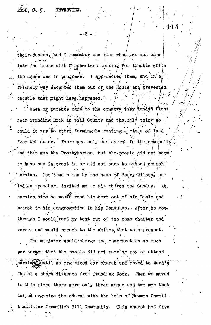their..dances', "and I remember one time when two men came **• • « . •/ • ; . 7 ' •• i** into the house with Winchesters looking ffor trouble while I approached them, and in a the dance was in progress. friendly way escorted them out of the House and prevented.  $\frac{1}{2}$ trouble that might have happened.  $\cdot$ 

 $\cdot$  J14

**'•u**

 $\sim$  When my parents came to the country, they landed first  $\sim$  / **- /i. »•'" 'J' /-. .** near Standing Rock in this County and the only thing we could do was to start farming by renting a piece of land from the owner. There was only one church in the community and that was the Presbyterian, but the people did not seem **'' • \* \*' i ! ' >** to have any interest in or did not care to attend  $q$ hurch' service. One time a man by the name of Henry Wilson, an-Indian preacher, invited me to his church one Sunday. At. service time he would read his #ext out of his Bible and preach to his congregation in his language. After he gote through I would read my text out of the same chapter and verses and would preach to the whites, that ware present. The minister would charge the congregation so much per sermon that the people did not cars to pay or attend services buntil we organized our church and moved to Ward's

Chapel a short distance from Standing Rock. When we moved to this place there were only three women and two men that helped organize the church with the help of Newman Powell, a minister from  $\frac{1}{2}$  minister  $\frac{1}{2}$  minister  $\frac{1}{2}$  minister  $\frac{1}{2}$  minister  $\frac{1}{2}$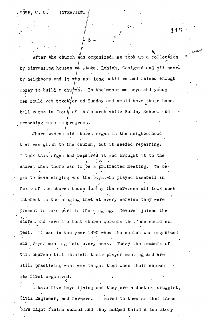ROSE, C. C. INTERVIEW.

After the church was organized; we took up a collection by canvassing houses at Atoka, Lehigh, Coalgate and all nearby neighbors and it whs not long until we had raised enough money to build a church. In the meantime boys and young u*rch.* In the meandless in the mean<br> *per on Sunday* and  $\frac{1}{2}$  $\sqrt{2}$ ball games in from of the church while samely school  $\mathbb{R}^d$ preaching  $r$ ere in  $pr_0$ gress.

/- 3 -

There was an old church organ in the neighborhood that was giv'n to the church, but it needed repairing. I to,ok this organ and repaired it and brought it to the church when there was to be a protracted meeting. Te begen to have singing and the boys. who played baseball in  $\mathcal{G}$  to have single baseball in the boys . When played baseball in the boys . from the corresponding to the corresponding to the services all took such such as  $\mathcal{L}_\text{max}$ interest in the singing that at every service they were interest in the single that the single that the single that they were service that they were service they were present to take pert in the singing. Ceveral joined the church and were the best church workers that one could expect. It was in the year 1890 when the church was organized and prayer meeting held every week. Today the members of this church still maintain their prayer meeting and are still practicing what was taught them when their church was first organized.

I have five boys living and they are a doctor, druggist, Civil Engineer, and farmers. I moved to town so that these boys might finish school and they helped build a two story

boys might finish school and they heiped build a two story  $\mathcal{H}^{\mathcal{A}}$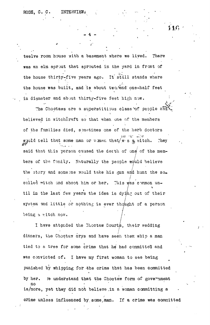twelve room house with a basement where we lived. There was an elm sprout that sprouted in the yard in front of the house thirty-five years ago. It still stands where the house was built, and is about two and one-half feet in diameter and about thirty-five feet high now. : 1999 - 1999 - 1999 - 1999 - 1999 - 1999 - 1999 - 1999 - 1999 - 1999 - 1999 - 1999 - 1999 - 1999 - 1999 - 199

- 4 -

The Choctaws are a superstitious class of people and believed in witchcraft so that when one of the members of the families died, sometimes one of the herb doctors wquld tell that some man or woman that/w-s a witch. They said that this person caused the death of one of the members of the family. Naturally the people would believe the story and someone would take his gun and hunt the so. called witch and shoot him or her. This was common until in the last few years the idea is dyi/ng out of their system and little or nothing is ever thought of a person being a witch now.

I have attended the Choctaw Courts, their wedding dinners, the Choctaw crys and have seen them whip a man tied to a tree for some crime that he had committed and was convicted of. I have my first woman to see being punished by whipping for 4he crime that has been committed by her. le understand that the Ghoctaw form of government no • is/more, yet they did n6t believe ,in a woman committing a crime unless influenced by some man. If a crime was committed